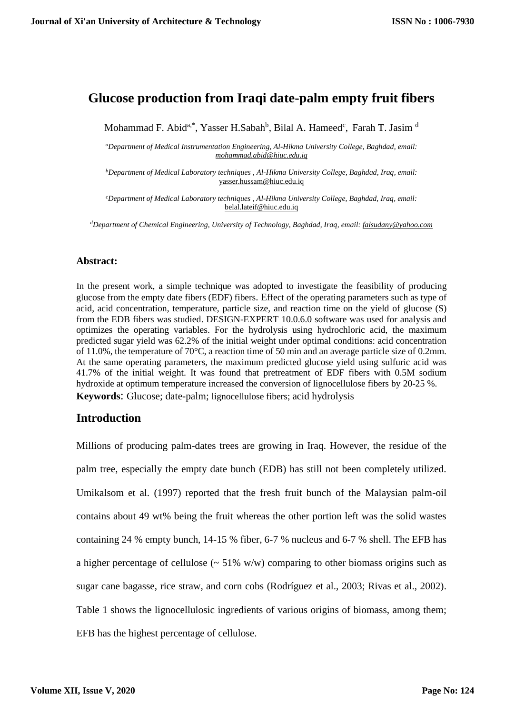# **Glucose production from Iraqi date-palm empty fruit fibers**

Mohammad F. Abid<sup>a,\*</sup>, Yasser H.Sabah<sup>b</sup>, Bilal A. Hameed<sup>c</sup>, Farah T. Jasim<sup>d</sup>

*<sup>a</sup>Department of Medical Instrumentation Engineering, Al-Hikma University College, Baghdad, email: [mohammad.abid@hiuc.edu.iq](mailto:mohammad.abid@hiuc.edu.iq)*

*<sup>b</sup>Department of Medical Laboratory techniques , Al-Hikma University College, Baghdad, Iraq, email:*  yasser.hussam@hiuc.edu.iq

*<sup>c</sup>Department of Medical Laboratory techniques , Al-Hikma University College, Baghdad, Iraq, email:* belal.lateif@hiuc.edu.iq

*<sup>d</sup>Department of Chemical Engineering, University of Technology, Baghdad, Iraq, email[: falsudany@yahoo.com](mailto:falsudany@yahoo.com)*

#### **Abstract:**

In the present work, a simple technique was adopted to investigate the feasibility of producing glucose from the empty date fibers (EDF) fibers. Effect of the operating parameters such as type of acid, acid concentration, temperature, particle size, and reaction time on the yield of glucose (S) from the EDB fibers was studied. DESIGN-EXPERT 10.0.6.0 software was used for analysis and optimizes the operating variables. For the hydrolysis using hydrochloric acid, the maximum predicted sugar yield was 62.2% of the initial weight under optimal conditions: acid concentration of 11.0%, the temperature of 70°C, a reaction time of 50 min and an average particle size of 0.2mm. At the same operating parameters, the maximum predicted glucose yield using sulfuric acid was 41.7% of the initial weight. It was found that pretreatment of EDF fibers with 0.5M sodium hydroxide at optimum temperature increased the conversion of lignocellulose fibers by 20-25 %. **Keywords**: Glucose; date-palm; lignocellulose fibers; acid hydrolysis

### **Introduction**

Millions of producing palm-dates trees are growing in Iraq. However, the residue of the palm tree, especially the empty date bunch (EDB) has still not been completely utilized. Umikalsom et al. (1997) reported that the fresh fruit bunch of the Malaysian palm-oil contains about 49 wt% being the fruit whereas the other portion left was the solid wastes containing 24 % empty bunch, 14-15 % fiber, 6-7 % nucleus and 6-7 % shell. The EFB has a higher percentage of cellulose  $\left(\sim 51\% \text{ w/w}\right)$  comparing to other biomass origins such as sugar cane bagasse, rice straw, and corn cobs (Rodríguez et al., 2003; Rivas et al., 2002). Table 1 shows the lignocellulosic ingredients of various origins of biomass, among them; EFB has the highest percentage of cellulose.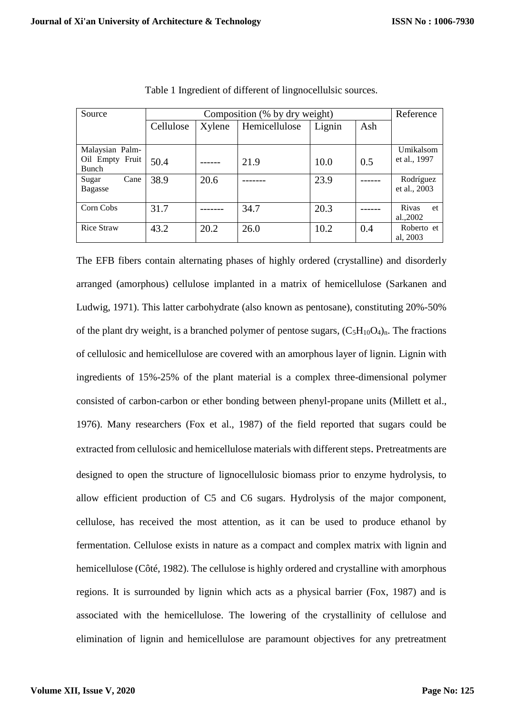| Source                          | Composition (% by dry weight) |        |               |        |     | Reference    |
|---------------------------------|-------------------------------|--------|---------------|--------|-----|--------------|
|                                 | Cellulose                     | Xylene | Hemicellulose | Lignin | Ash |              |
|                                 |                               |        |               |        |     |              |
| Malaysian Palm-                 |                               |        |               |        |     | Umikalsom    |
| Oil Empty Fruit<br><b>Bunch</b> | 50.4                          |        | 21.9          | 10.0   | 0.5 | et al., 1997 |
| Cane<br>Sugar                   | 38.9                          | 20.6   |               | 23.9   |     | Rodríguez    |
| <b>Bagasse</b>                  |                               |        |               |        |     | et al., 2003 |
|                                 |                               |        |               |        |     |              |
| Corn Cobs                       | 31.7                          |        | 34.7          | 20.3   |     | Rivas<br>et  |
|                                 |                               |        |               |        |     | al.,2002     |
| <b>Rice Straw</b>               | 43.2                          | 20.2   | 26.0          | 10.2   | 0.4 | Roberto et   |
|                                 |                               |        |               |        |     | al. 2003     |

Table 1 Ingredient of different of lingnocellulsic sources.

The EFB fibers contain alternating phases of highly ordered (crystalline) and disorderly arranged (amorphous) cellulose implanted in a matrix of hemicellulose (Sarkanen and Ludwig, 1971). This latter carbohydrate (also known as pentosane), constituting 20%-50% of the plant dry weight, is a branched polymer of pentose sugars,  $(C_5H_{10}O_4)_{n}$ . The fractions of cellulosic and hemicellulose are covered with an amorphous layer of lignin. Lignin with ingredients of 15%-25% of the plant material is a complex three-dimensional polymer consisted of carbon-carbon or ether bonding between phenyl-propane units (Millett et al., 1976). Many researchers (Fox et al., 1987) of the field reported that sugars could be extracted from cellulosic and hemicellulose materials with different steps. Pretreatments are designed to open the structure of lignocellulosic biomass prior to enzyme hydrolysis, to allow efficient production of C5 and C6 sugars. Hydrolysis of the major component, cellulose, has received the most attention, as it can be used to produce ethanol by fermentation. Cellulose exists in nature as a compact and complex matrix with lignin and hemicellulose (Côté, 1982). The cellulose is highly ordered and crystalline with amorphous regions. It is surrounded by lignin which acts as a physical barrier (Fox, 1987) and is associated with the hemicellulose. The lowering of the crystallinity of cellulose and elimination of lignin and hemicellulose are paramount objectives for any pretreatment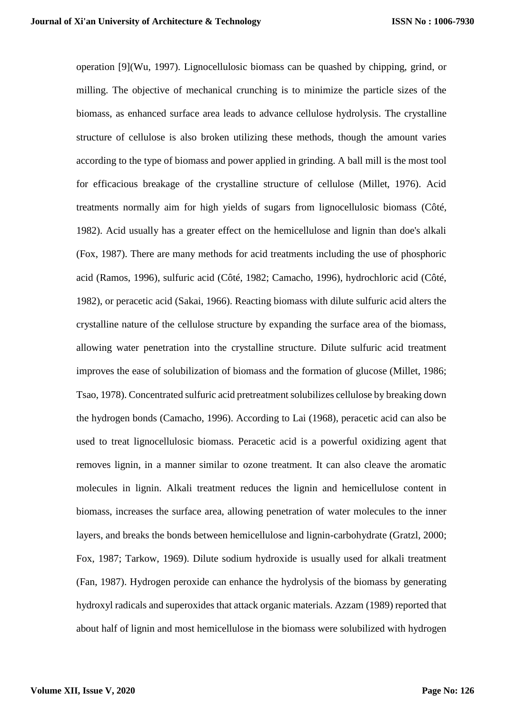operation [9](Wu, 1997). Lignocellulosic biomass can be quashed by chipping, grind, or milling. The objective of mechanical crunching is to minimize the particle sizes of the biomass, as enhanced surface area leads to advance cellulose hydrolysis. The crystalline structure of cellulose is also broken utilizing these methods, though the amount varies according to the type of biomass and power applied in grinding. A ball mill is the most tool for efficacious breakage of the crystalline structure of cellulose (Millet, 1976). Acid treatments normally aim for high yields of sugars from lignocellulosic biomass (Côté, 1982). Acid usually has a greater effect on the hemicellulose and lignin than doe's alkali (Fox, 1987). There are many methods for acid treatments including the use of phosphoric acid (Ramos, 1996), sulfuric acid (Côté, 1982; Camacho, 1996), hydrochloric acid (Côté, 1982), or peracetic acid (Sakai, 1966). Reacting biomass with dilute sulfuric acid alters the crystalline nature of the cellulose structure by expanding the surface area of the biomass, allowing water penetration into the crystalline structure. Dilute sulfuric acid treatment improves the ease of solubilization of biomass and the formation of glucose (Millet, 1986; Tsao, 1978). Concentrated sulfuric acid pretreatment solubilizes cellulose by breaking down the hydrogen bonds (Camacho, 1996). According to Lai (1968), peracetic acid can also be used to treat lignocellulosic biomass. Peracetic acid is a powerful oxidizing agent that removes lignin, in a manner similar to ozone treatment. It can also cleave the aromatic molecules in lignin. Alkali treatment reduces the lignin and hemicellulose content in biomass, increases the surface area, allowing penetration of water molecules to the inner layers, and breaks the bonds between hemicellulose and lignin-carbohydrate (Gratzl, 2000; Fox, 1987; Tarkow, 1969). Dilute sodium hydroxide is usually used for alkali treatment (Fan, 1987). Hydrogen peroxide can enhance the hydrolysis of the biomass by generating hydroxyl radicals and superoxides that attack organic materials. Azzam (1989) reported that about half of lignin and most hemicellulose in the biomass were solubilized with hydrogen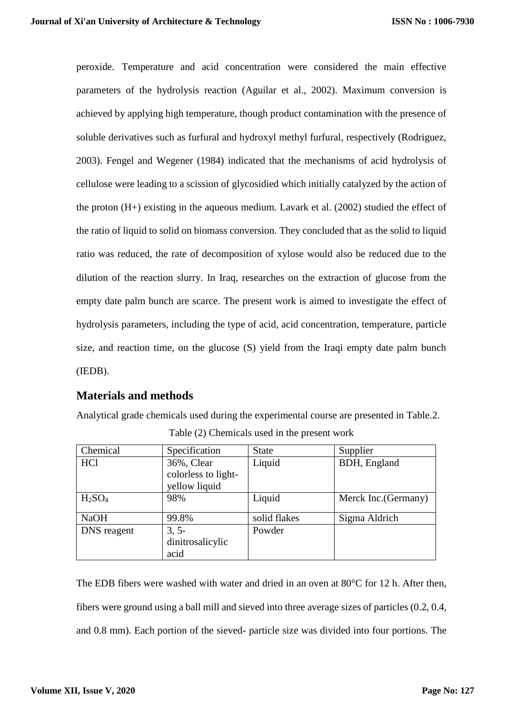peroxide. Temperature and acid concentration were considered the main effective parameters of the hydrolysis reaction (Aguilar et al., 2002). Maximum conversion is achieved by applying high temperature, though product contamination with the presence of soluble derivatives such as furfural and hydroxyl methyl furfural, respectively (Rodriguez, 2003). Fengel and Wegener (1984) indicated that the mechanisms of acid hydrolysis of cellulose were leading to a scission of glycosidied which initially catalyzed by the action of the proton (H+) existing in the aqueous medium. Lavark et al. (2002) studied the effect of the ratio of liquid to solid on biomass conversion. They concluded that as the solid to liquid ratio was reduced, the rate of decomposition of xylose would also be reduced due to the dilution of the reaction slurry. In Iraq, researches on the extraction of glucose from the empty date palm bunch are scarce. The present work is aimed to investigate the effect of hydrolysis parameters, including the type of acid, acid concentration, temperature, particle size, and reaction time, on the glucose (S) yield from the Iraqi empty date palm bunch (IEDB).

## **Materials and methods**

Analytical grade chemicals used during the experimental course are presented in Table.2. Table (2) Chemicals used in the present work

| Chemical                       | Specification       | <b>State</b> | Supplier             |
|--------------------------------|---------------------|--------------|----------------------|
| <b>HCl</b>                     | 36%, Clear          | Liquid       | BDH, England         |
|                                | colorless to light- |              |                      |
|                                | yellow liquid       |              |                      |
| H <sub>2</sub> SO <sub>4</sub> | 98%                 | Liquid       | Merck Inc. (Germany) |
| <b>NaOH</b>                    | 99.8%               | solid flakes | Sigma Aldrich        |
| DNS reagent                    | $3, 5-$             | Powder       |                      |
|                                | dinitrosalicylic    |              |                      |
|                                | acid                |              |                      |

The EDB fibers were washed with water and dried in an oven at  $80^{\circ}$ C for 12 h. After then, fibers were ground using a ball mill and sieved into three average sizes of particles (0.2, 0.4, and 0.8 mm). Each portion of the sieved- particle size was divided into four portions. The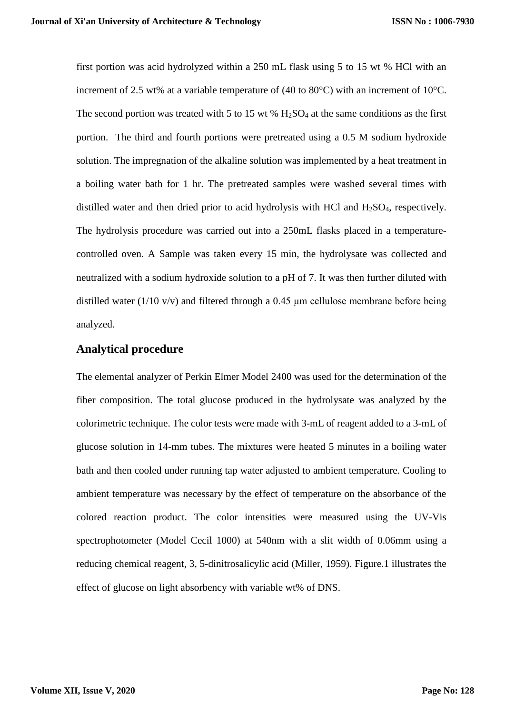first portion was acid hydrolyzed within a 250 mL flask using 5 to 15 wt % HCl with an increment of 2.5 wt% at a variable temperature of (40 to 80°C) with an increment of 10°C. The second portion was treated with 5 to 15 wt %  $H_2SO_4$  at the same conditions as the first portion. The third and fourth portions were pretreated using a 0.5 M sodium hydroxide solution. The impregnation of the alkaline solution was implemented by a heat treatment in a boiling water bath for 1 hr. The pretreated samples were washed several times with distilled water and then dried prior to acid hydrolysis with HCl and H<sub>2</sub>SO<sub>4</sub>, respectively. The hydrolysis procedure was carried out into a 250mL flasks placed in a temperaturecontrolled oven. A Sample was taken every 15 min, the hydrolysate was collected and neutralized with a sodium hydroxide solution to a pH of 7. It was then further diluted with distilled water (1/10 v/v) and filtered through a 0.45 μm cellulose membrane before being analyzed.

#### **Analytical procedure**

The elemental analyzer of Perkin Elmer Model 2400 was used for the determination of the fiber composition. The total glucose produced in the hydrolysate was analyzed by the colorimetric technique. The color tests were made with 3-mL of reagent added to a 3-mL of glucose solution in 14-mm tubes. The mixtures were heated 5 minutes in a boiling water bath and then cooled under running tap water adjusted to ambient temperature. Cooling to ambient temperature was necessary by the effect of temperature on the absorbance of the colored reaction product. The color intensities were measured using the UV-Vis spectrophotometer (Model Cecil 1000) at 540nm with a slit width of 0.06mm using a reducing chemical reagent, 3, 5-dinitrosalicylic acid (Miller, 1959). Figure.1 illustrates the effect of glucose on light absorbency with variable wt% of DNS.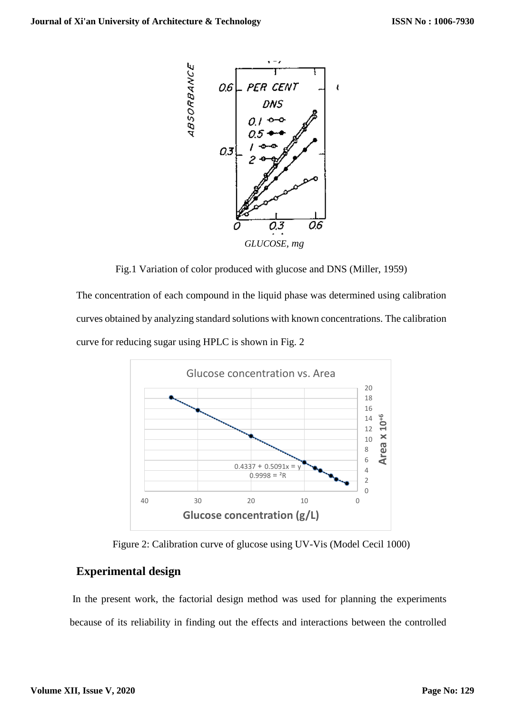

Fig.1 Variation of color produced with glucose and DNS (Miller, 1959)

The concentration of each compound in the liquid phase was determined using calibration curves obtained by analyzing standard solutions with known concentrations. The calibration curve for reducing sugar using HPLC is shown in Fig. 2



Figure 2: Calibration curve of glucose using UV-Vis (Model Cecil 1000)

### **Experimental design**

In the present work, the factorial design method was used for planning the experiments because of its reliability in finding out the effects and interactions between the controlled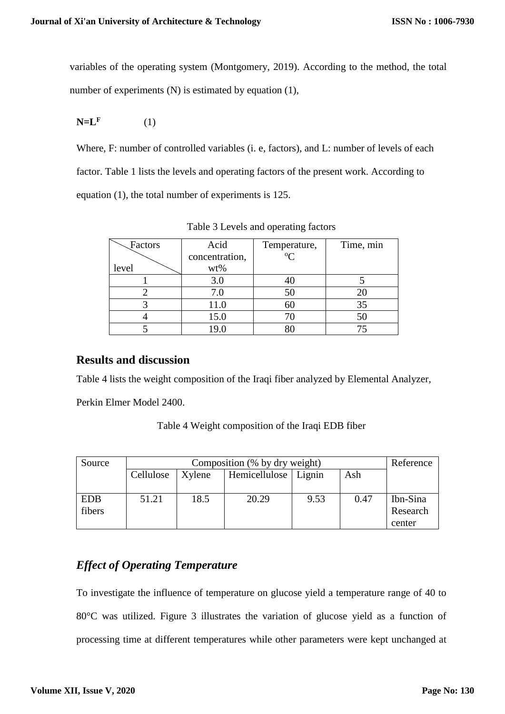variables of the operating system (Montgomery, 2019). According to the method, the total number of experiments (N) is estimated by equation (1),

$$
N=LF \t(1)
$$

Where, F: number of controlled variables (i. e, factors), and L: number of levels of each factor. Table 1 lists the levels and operating factors of the present work. According to equation (1), the total number of experiments is 125.

| Factors | Acid           | Temperature, | Time, min |
|---------|----------------|--------------|-----------|
|         | concentration, | $\Omega$     |           |
| level   | wt%            |              |           |
|         | 3.0            | 40           |           |
|         | 7.0            | 50           |           |
|         |                | 60           |           |
|         | 15.0           |              |           |
|         |                |              |           |

Table 3 Levels and operating factors

## **Results and discussion**

Table 4 lists the weight composition of the Iraqi fiber analyzed by Elemental Analyzer,

Perkin Elmer Model 2400.

| Source     | Composition (% by dry weight) |        |                        |      |      | Reference |
|------------|-------------------------------|--------|------------------------|------|------|-----------|
|            | Cellulose                     | Xylene | Hemicellulose   Lignin |      | Ash  |           |
|            |                               |        |                        |      |      |           |
| <b>EDB</b> | 51.21                         | 18.5   | 20.29                  | 9.53 | 0.47 | Ibn-Sina  |
| fibers     |                               |        |                        |      |      | Research  |
|            |                               |        |                        |      |      | center    |

# *Effect of Operating Temperature*

To investigate the influence of temperature on glucose yield a temperature range of 40 to 80°C was utilized. Figure 3 illustrates the variation of glucose yield as a function of processing time at different temperatures while other parameters were kept unchanged at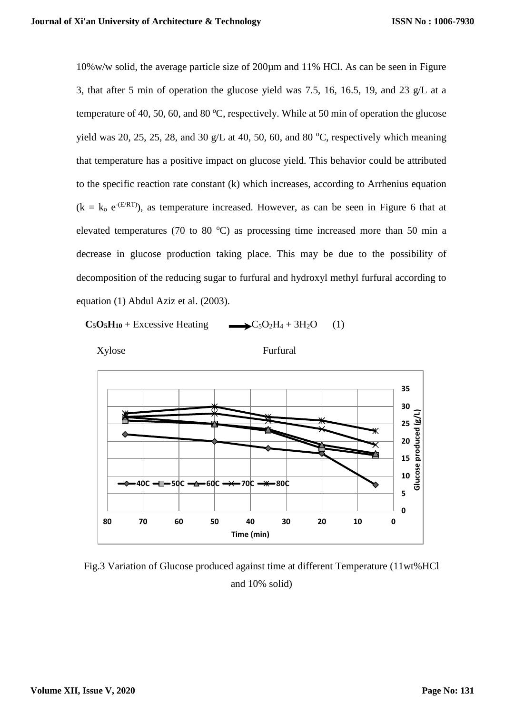10%w/w solid, the average particle size of 200µm and 11% HCl. As can be seen in Figure 3, that after 5 min of operation the glucose yield was 7.5, 16, 16.5, 19, and 23 g/L at a temperature of 40, 50, 60, and 80  $^{\circ}$ C, respectively. While at 50 min of operation the glucose yield was 20, 25, 25, 28, and 30 g/L at 40, 50, 60, and 80  $^{\circ}$ C, respectively which meaning that temperature has a positive impact on glucose yield. This behavior could be attributed to the specific reaction rate constant (k) which increases, according to Arrhenius equation  $(k = k_0 e^{-(E/RT)})$ , as temperature increased. However, as can be seen in Figure 6 that at elevated temperatures (70 to 80  $^{\circ}$ C) as processing time increased more than 50 min a decrease in glucose production taking place. This may be due to the possibility of decomposition of the reducing sugar to furfural and hydroxyl methyl furfural according to equation (1) Abdul Aziz et al. (2003).

 $C_5O_5H_{10}$  + Excessive Heating  $C_5O_2H_4 + 3H_2O$  (1)



Xylose Furfural



Fig.3 Variation of Glucose produced against time at different Temperature (11wt%HCl and 10% solid)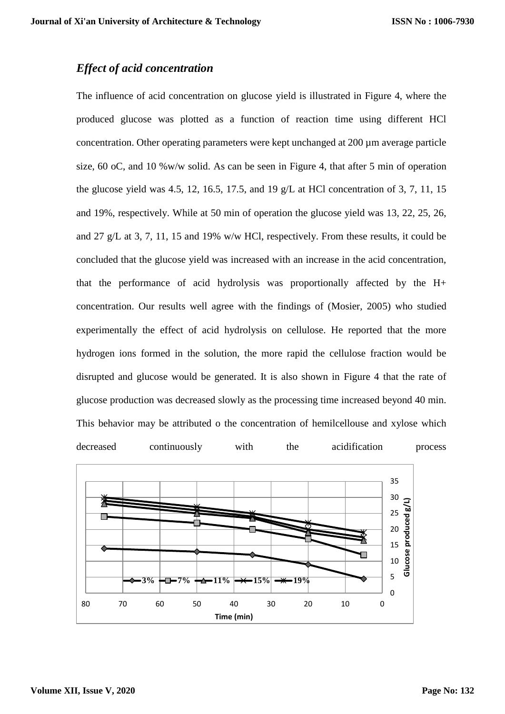# *Effect of acid concentration*

The influence of acid concentration on glucose yield is illustrated in Figure 4, where the produced glucose was plotted as a function of reaction time using different HCl concentration. Other operating parameters were kept unchanged at 200 µm average particle size, 60 oC, and 10 %w/w solid. As can be seen in Figure 4, that after 5 min of operation the glucose yield was 4.5, 12, 16.5, 17.5, and 19  $g/L$  at HCl concentration of 3, 7, 11, 15 and 19%, respectively. While at 50 min of operation the glucose yield was 13, 22, 25, 26, and 27 g/L at 3, 7, 11, 15 and 19% w/w HCl, respectively. From these results, it could be concluded that the glucose yield was increased with an increase in the acid concentration, that the performance of acid hydrolysis was proportionally affected by the H+ concentration. Our results well agree with the findings of (Mosier, 2005) who studied experimentally the effect of acid hydrolysis on cellulose. He reported that the more hydrogen ions formed in the solution, the more rapid the cellulose fraction would be disrupted and glucose would be generated. It is also shown in Figure 4 that the rate of glucose production was decreased slowly as the processing time increased beyond 40 min. This behavior may be attributed o the concentration of hemilcellouse and xylose which decreased continuously with the acidification process

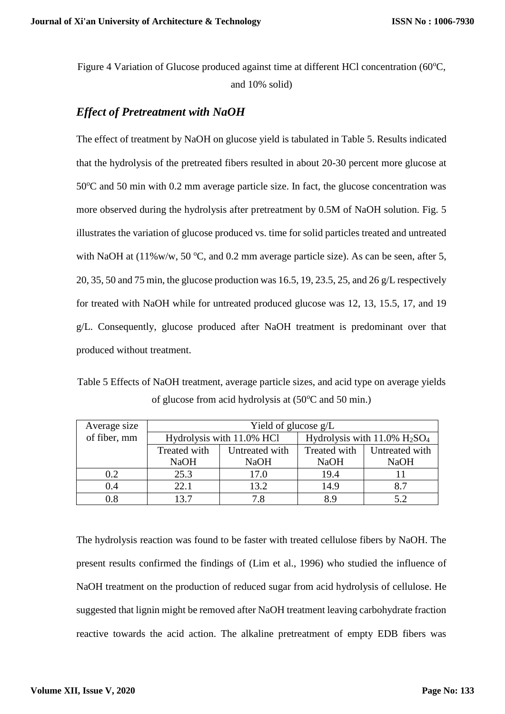Figure 4 Variation of Glucose produced against time at different HCl concentration (60°C, and 10% solid)

## *Effect of Pretreatment with NaOH*

The effect of treatment by NaOH on glucose yield is tabulated in Table 5. Results indicated that the hydrolysis of the pretreated fibers resulted in about 20-30 percent more glucose at  $50^{\circ}$ C and  $50$  min with 0.2 mm average particle size. In fact, the glucose concentration was more observed during the hydrolysis after pretreatment by 0.5M of NaOH solution. Fig. 5 illustrates the variation of glucose produced vs. time for solid particles treated and untreated with NaOH at  $(11\%w/w, 50\degree C,$  and 0.2 mm average particle size). As can be seen, after 5, 20, 35, 50 and 75 min, the glucose production was 16.5, 19, 23.5, 25, and 26 g/L respectively for treated with NaOH while for untreated produced glucose was 12, 13, 15.5, 17, and 19 g/L. Consequently, glucose produced after NaOH treatment is predominant over that produced without treatment.

Table 5 Effects of NaOH treatment, average particle sizes, and acid type on average yields of glucose from acid hydrolysis at  $(50^{\circ}$ C and 50 min.)

| Average size | Yield of glucose $g/L$    |                |                                                         |                |  |  |
|--------------|---------------------------|----------------|---------------------------------------------------------|----------------|--|--|
| of fiber, mm | Hydrolysis with 11.0% HCl |                | Hydrolysis with $11.0\%$ H <sub>2</sub> SO <sub>4</sub> |                |  |  |
|              | Treated with              | Untreated with | Treated with                                            | Untreated with |  |  |
|              | <b>NaOH</b>               | <b>NaOH</b>    | <b>NaOH</b>                                             | <b>NaOH</b>    |  |  |
| 0.2          | 25.3                      | 17.0           | 19.4                                                    |                |  |  |
| 0.4          | 22.1                      | 13.2           | 14.9                                                    | 8.7            |  |  |
| 0.8          | 137                       | 7.8            | 8.9                                                     |                |  |  |

The hydrolysis reaction was found to be faster with treated cellulose fibers by NaOH. The present results confirmed the findings of (Lim et al., 1996) who studied the influence of NaOH treatment on the production of reduced sugar from acid hydrolysis of cellulose. He suggested that lignin might be removed after NaOH treatment leaving carbohydrate fraction reactive towards the acid action. The alkaline pretreatment of empty EDB fibers was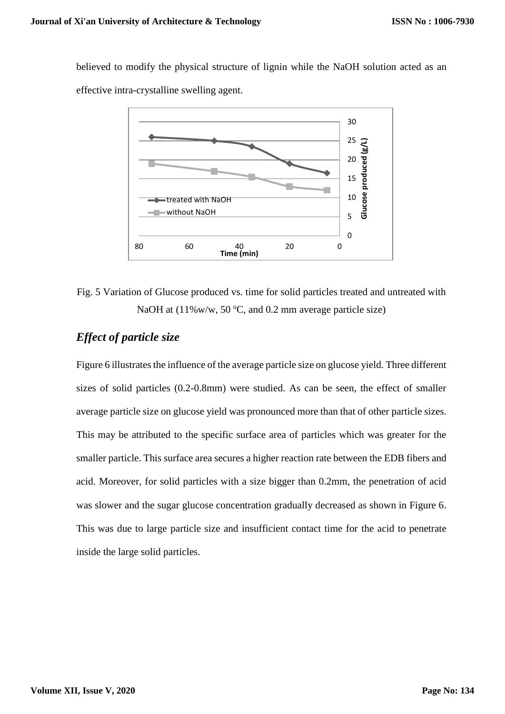believed to modify the physical structure of lignin while the NaOH solution acted as an effective intra-crystalline swelling agent.



# Fig. 5 Variation of Glucose produced vs. time for solid particles treated and untreated with NaOH at  $(11\% \text{w/w}, 50 \degree \text{C}, \text{and } 0.2 \text{ mm}$  average particle size)

# *Effect of particle size*

Figure 6 illustrates the influence of the average particle size on glucose yield. Three different sizes of solid particles (0.2-0.8mm) were studied. As can be seen, the effect of smaller average particle size on glucose yield was pronounced more than that of other particle sizes. This may be attributed to the specific surface area of particles which was greater for the smaller particle. This surface area secures a higher reaction rate between the EDB fibers and acid. Moreover, for solid particles with a size bigger than 0.2mm, the penetration of acid was slower and the sugar glucose concentration gradually decreased as shown in Figure 6. This was due to large particle size and insufficient contact time for the acid to penetrate inside the large solid particles.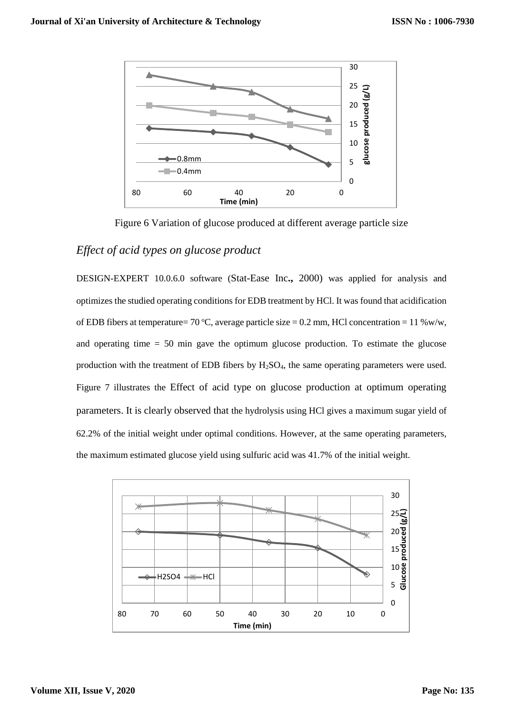

Figure 6 Variation of glucose produced at different average particle size

### *Effect of acid types on glucose product*

DESIGN-EXPERT 10.0.6.0 software (Stat-Ease Inc**.,** 2000) was applied for analysis and optimizes the studied operating conditions for EDB treatment by HCl. It was found that acidification of EDB fibers at temperature= 70 °C, average particle size = 0.2 mm, HCl concentration = 11 %w/w, and operating time = 50 min gave the optimum glucose production. To estimate the glucose production with the treatment of EDB fibers by H<sub>2</sub>SO<sub>4</sub>, the same operating parameters were used. Figure 7 illustrates the Effect of acid type on glucose production at optimum operating parameters. It is clearly observed that the hydrolysis using HCl gives a maximum sugar yield of 62.2% of the initial weight under optimal conditions. However, at the same operating parameters, the maximum estimated glucose yield using sulfuric acid was 41.7% of the initial weight.

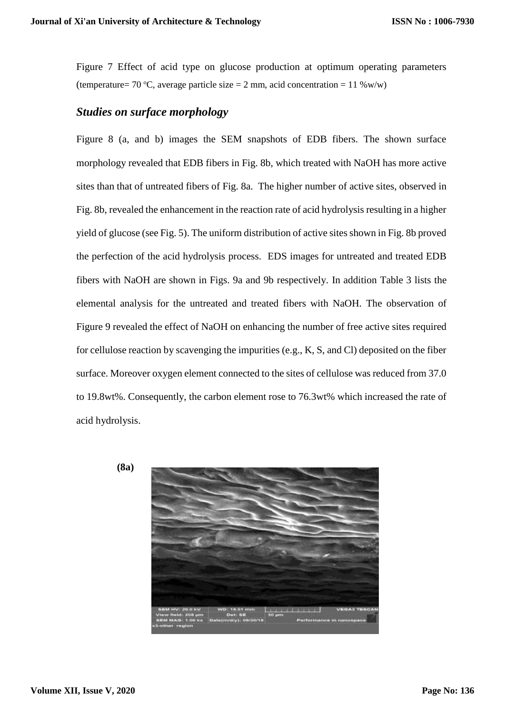Figure 7 Effect of acid type on glucose production at optimum operating parameters (temperature= 70 °C, average particle size = 2 mm, acid concentration = 11 %w/w)

### *Studies on surface morphology*

Figure 8 (a, and b) images the SEM snapshots of EDB fibers. The shown surface morphology revealed that EDB fibers in Fig. 8b, which treated with NaOH has more active sites than that of untreated fibers of Fig. 8a. The higher number of active sites, observed in Fig. 8b, revealed the enhancement in the reaction rate of acid hydrolysis resulting in a higher yield of glucose (see Fig. 5). The uniform distribution of active sites shown in Fig. 8b proved the perfection of the acid hydrolysis process. EDS images for untreated and treated EDB fibers with NaOH are shown in Figs. 9a and 9b respectively. In addition Table 3 lists the elemental analysis for the untreated and treated fibers with NaOH. The observation of Figure 9 revealed the effect of NaOH on enhancing the number of free active sites required for cellulose reaction by scavenging the impurities (e.g., K, S, and Cl) deposited on the fiber surface. Moreover oxygen element connected to the sites of cellulose was reduced from 37.0 to 19.8wt%. Consequently, the carbon element rose to 76.3wt% which increased the rate of acid hydrolysis.



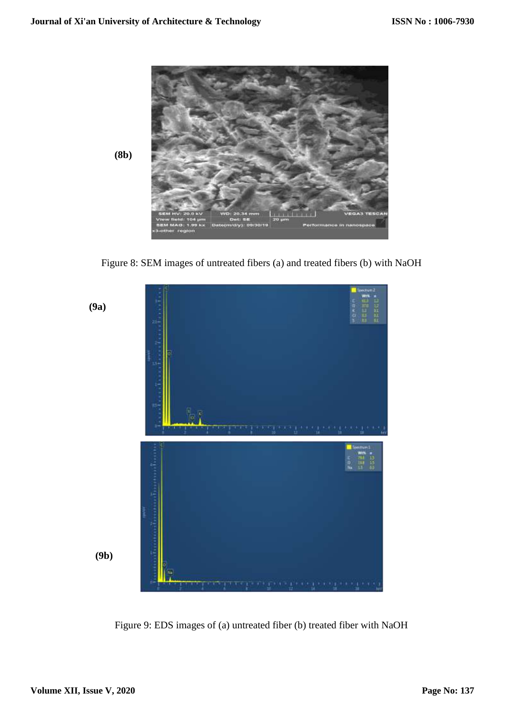

Figure 8: SEM images of untreated fibers (a) and treated fibers (b) with NaOH



Figure 9: EDS images of (a) untreated fiber (b) treated fiber with NaOH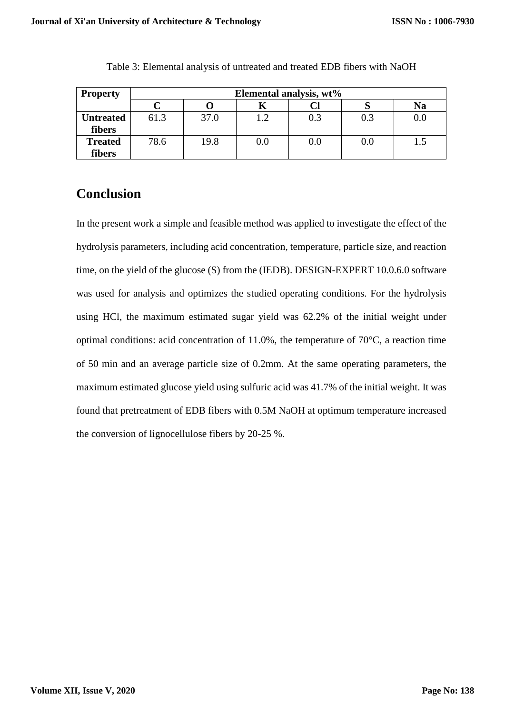| <b>Property</b>  | Elemental analysis, wt% |      |         |         |     |         |
|------------------|-------------------------|------|---------|---------|-----|---------|
|                  |                         |      |         |         |     | Na      |
| <b>Untreated</b> | 61.3                    | 37.0 | 1.2     | 0.3     | 0.3 | $0.0\,$ |
| fibers           |                         |      |         |         |     |         |
| <b>Treated</b>   | 78.6                    | 19.8 | $0.0\,$ | $0.0\,$ | 0.0 |         |
| fibers           |                         |      |         |         |     |         |

Table 3: Elemental analysis of untreated and treated EDB fibers with NaOH

# **Conclusion**

In the present work a simple and feasible method was applied to investigate the effect of the hydrolysis parameters, including acid concentration, temperature, particle size, and reaction time, on the yield of the glucose (S) from the (IEDB). DESIGN-EXPERT 10.0.6.0 software was used for analysis and optimizes the studied operating conditions. For the hydrolysis using HCl, the maximum estimated sugar yield was 62.2% of the initial weight under optimal conditions: acid concentration of 11.0%, the temperature of 70°C, a reaction time of 50 min and an average particle size of 0.2mm. At the same operating parameters, the maximum estimated glucose yield using sulfuric acid was 41.7% of the initial weight. It was found that pretreatment of EDB fibers with 0.5M NaOH at optimum temperature increased the conversion of lignocellulose fibers by 20-25 %.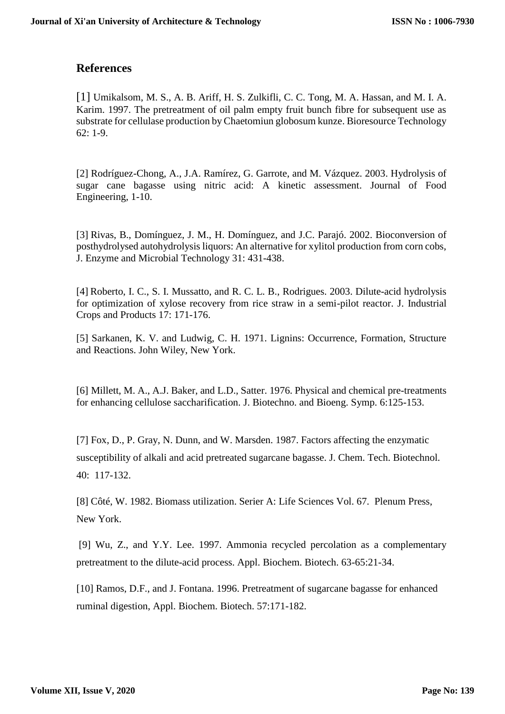## **References**

[1] Umikalsom, M. S., A. B. Ariff, H. S. Zulkifli, C. C. Tong, M. A. Hassan, and M. I. A. Karim. 1997. The pretreatment of oil palm empty fruit bunch fibre for subsequent use as substrate for cellulase production by Chaetomiun globosum kunze. Bioresource Technology 62: 1-9.

[2] Rodríguez-Chong, A., J.A. Ramírez, G. Garrote, and M. Vázquez. 2003. Hydrolysis of sugar cane bagasse using nitric acid: A kinetic assessment. Journal of Food Engineering, 1-10.

[3] Rivas, B., Domínguez, J. M., H. Domínguez, and J.C. Parajó. 2002. Bioconversion of posthydrolysed autohydrolysis liquors: An alternative for xylitol production from corn cobs, J. Enzyme and Microbial Technology 31: 431-438.

[4] Roberto, I. C., S. I. Mussatto, and R. C. L. B., Rodrigues. 2003. Dilute-acid hydrolysis for optimization of xylose recovery from rice straw in a semi-pilot reactor. J. Industrial Crops and Products 17: 171-176.

[5] Sarkanen, K. V. and Ludwig, C. H. 1971. Lignins: Occurrence, Formation, Structure and Reactions. John Wiley, New York.

[6] Millett, M. A., A.J. Baker, and L.D., Satter. 1976. Physical and chemical pre-treatments for enhancing cellulose saccharification. J. Biotechno. and Bioeng. Symp. 6:125-153.

[7] Fox, D., P. Gray, N. Dunn, and W. Marsden. 1987. Factors affecting the enzymatic susceptibility of alkali and acid pretreated sugarcane bagasse. J. Chem. Tech. Biotechnol. 40: 117-132.

[8] Côté, W. 1982. Biomass utilization. Serier A: Life Sciences Vol. 67. Plenum Press, New York.

[9] Wu, Z., and Y.Y. Lee. 1997. Ammonia recycled percolation as a complementary pretreatment to the dilute-acid process. Appl. Biochem. Biotech. 63-65:21-34.

[10] Ramos, D.F., and J. Fontana. 1996. Pretreatment of sugarcane bagasse for enhanced ruminal digestion, Appl. Biochem. Biotech. 57:171-182.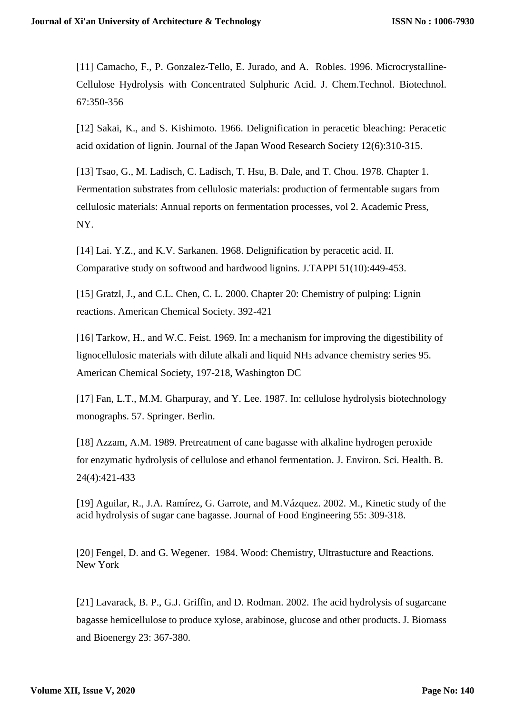[11] Camacho, F., P. Gonzalez-Tello, E. Jurado, and A. Robles. 1996. Microcrystalline-Cellulose Hydrolysis with Concentrated Sulphuric Acid. J. Chem.Technol. Biotechnol. 67:350-356

[12] Sakai, K., and S. Kishimoto. 1966. Delignification in peracetic bleaching: Peracetic acid oxidation of lignin. Journal of the Japan Wood Research Society 12(6):310-315.

[13] Tsao, G., M. Ladisch, C. Ladisch, T. Hsu, B. Dale, and T. Chou. 1978. Chapter 1. Fermentation substrates from cellulosic materials: production of fermentable sugars from cellulosic materials: Annual reports on fermentation processes, vol 2. Academic Press, NY.

[14] Lai. Y.Z., and K.V. Sarkanen. 1968. Delignification by peracetic acid. II. Comparative study on softwood and hardwood lignins. J.TAPPI 51(10):449-453.

[15] Gratzl, J., and C.L. Chen, C. L. 2000. Chapter 20: Chemistry of pulping: Lignin reactions. American Chemical Society. 392-421

[16] Tarkow, H., and W.C. Feist. 1969. In: a mechanism for improving the digestibility of lignocellulosic materials with dilute alkali and liquid NH<sup>3</sup> advance chemistry series 95. American Chemical Society, 197-218, Washington DC

[17] Fan, L.T., M.M. Gharpuray, and Y. Lee. 1987. In: cellulose hydrolysis biotechnology monographs. 57. Springer. Berlin.

[18] Azzam, A.M. 1989. Pretreatment of cane bagasse with alkaline hydrogen peroxide for enzymatic hydrolysis of cellulose and ethanol fermentation. J. Environ. Sci. Health. B. 24(4):421-433

[19] Aguilar, R., J.A. Ramírez, G. Garrote, and M.Vázquez. 2002. M., Kinetic study of the acid hydrolysis of sugar cane bagasse. Journal of Food Engineering 55: 309-318.

[20] Fengel, D. and G. Wegener. 1984. Wood: Chemistry, Ultrastucture and Reactions. New York

[21] Lavarack, B. P., G.J. Griffin, and D. Rodman. 2002. The acid hydrolysis of sugarcane bagasse hemicellulose to produce xylose, arabinose, glucose and other products. J. Biomass and Bioenergy 23: 367-380.